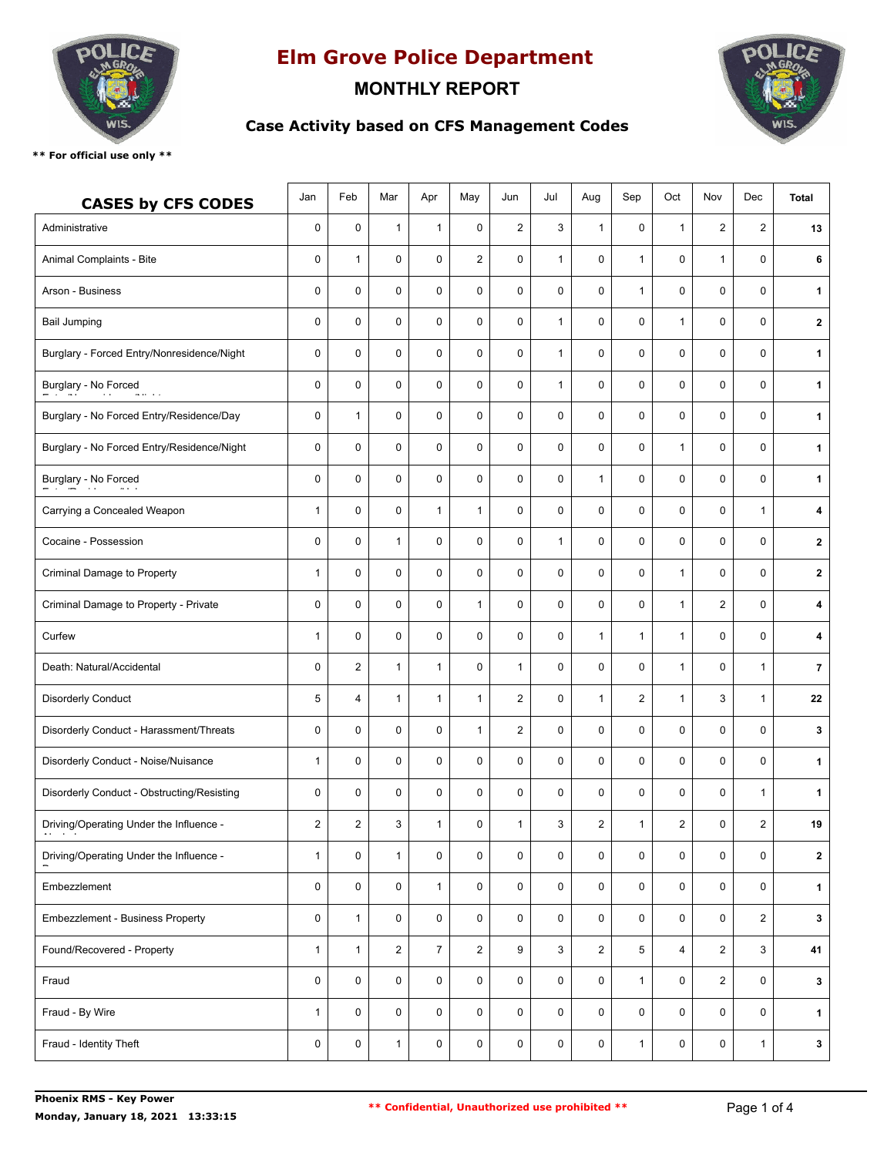

### **MONTHLY REPORT**



#### **Case Activity based on CFS Management Codes**

| <b>CASES by CFS CODES</b>                  | Jan            | Feb            | Mar                     | Apr            | May            | Jun            | Jul          | Aug            | Sep                     | Oct            | Nov            | Dec            | <b>Total</b>   |
|--------------------------------------------|----------------|----------------|-------------------------|----------------|----------------|----------------|--------------|----------------|-------------------------|----------------|----------------|----------------|----------------|
| Administrative                             | $\mathbf 0$    | $\mathbf 0$    | $\mathbf{1}$            | $\mathbf{1}$   | $\mathbf 0$    | $\overline{2}$ | 3            | $\mathbf{1}$   | $\pmb{0}$               | $\mathbf{1}$   | $\overline{2}$ | $\overline{c}$ | 13             |
| Animal Complaints - Bite                   | 0              | $\mathbf{1}$   | 0                       | $\pmb{0}$      | $\overline{2}$ | 0              | $\mathbf{1}$ | 0              | $\mathbf{1}$            | $\mathbf 0$    | $\mathbf{1}$   | 0              | 6              |
| Arson - Business                           | $\mathbf 0$    | 0              | 0                       | $\mathbf 0$    | 0              | $\mathbf 0$    | $\mathbf 0$  | $\mathbf 0$    | $\mathbf{1}$            | $\mathbf 0$    | $\mathbf 0$    | $\mathbf 0$    | $\mathbf 1$    |
| <b>Bail Jumping</b>                        | $\pmb{0}$      | 0              | 0                       | $\pmb{0}$      | 0              | $\mathbf 0$    | $\mathbf{1}$ | 0              | 0                       | $\mathbf{1}$   | $\mathbf 0$    | 0              | $\mathbf{2}$   |
| Burglary - Forced Entry/Nonresidence/Night | $\pmb{0}$      | 0              | 0                       | $\pmb{0}$      | 0              | $\mathbf 0$    | $\mathbf{1}$ | 0              | 0                       | $\pmb{0}$      | $\mathbf 0$    | 0              | $\mathbf{1}$   |
| Burglary - No Forced<br>$\sim$ $ \sim$     | 0              | $\mathbf 0$    | 0                       | $\mathbf 0$    | 0              | $\mathbf 0$    | $\mathbf{1}$ | 0              | 0                       | $\mathbf 0$    | $\mathbf 0$    | $\mathbf 0$    | 1              |
| Burglary - No Forced Entry/Residence/Day   | $\mathbf 0$    | $\mathbf{1}$   | $\mathbf 0$             | $\mathbf 0$    | $\mathbf 0$    | $\mathbf 0$    | $\mathbf 0$  | 0              | $\mathbf 0$             | $\mathbf 0$    | $\mathbf 0$    | 0              | $\mathbf{1}$   |
| Burglary - No Forced Entry/Residence/Night | $\pmb{0}$      | 0              | 0                       | $\pmb{0}$      | 0              | 0              | $\pmb{0}$    | 0              | 0                       | $\mathbf{1}$   | $\mathbf 0$    | 0              | $\mathbf 1$    |
| Burglary - No Forced                       | $\mathbf 0$    | 0              | 0                       | $\pmb{0}$      | 0              | $\mathbf 0$    | $\mathbf 0$  | $\mathbf{1}$   | 0                       | $\mathbf 0$    | $\mathbf 0$    | $\mathbf 0$    | $\mathbf 1$    |
| Carrying a Concealed Weapon                | 1              | 0              | 0                       | $\mathbf{1}$   | $\mathbf{1}$   | $\mathbf 0$    | $\mathbf 0$  | 0              | 0                       | $\mathbf 0$    | $\mathbf 0$    | $\mathbf{1}$   | 4              |
| Cocaine - Possession                       | 0              | 0              | $\mathbf{1}$            | $\pmb{0}$      | 0              | 0              | $\mathbf{1}$ | 0              | $\pmb{0}$               | 0              | $\mathbf 0$    | 0              | $\mathbf{2}$   |
| Criminal Damage to Property                | $\mathbf{1}$   | $\mathbf 0$    | $\mathbf 0$             | $\mathbf 0$    | $\mathbf 0$    | $\mathbf 0$    | $\mathbf 0$  | 0              | $\mathbf 0$             | $\mathbf{1}$   | $\mathbf 0$    | 0              | $\overline{2}$ |
| Criminal Damage to Property - Private      | $\mathbf 0$    | $\mathbf 0$    | 0                       | $\mathbf 0$    | $\mathbf{1}$   | $\mathbf 0$    | $\mathbf 0$  | 0              | $\pmb{0}$               | $\mathbf{1}$   | $\overline{2}$ | 0              | 4              |
| Curfew                                     | $\mathbf{1}$   | 0              | 0                       | $\pmb{0}$      | 0              | $\mathbf 0$    | 0            | $\mathbf{1}$   | $\mathbf{1}$            | $\mathbf{1}$   | $\mathbf 0$    | 0              | 4              |
| Death: Natural/Accidental                  | $\mathbf 0$    | $\overline{2}$ | $\mathbf{1}$            | $\mathbf{1}$   | $\mathbf 0$    | $\mathbf{1}$   | $\mathbf 0$  | 0              | $\pmb{0}$               | $\mathbf{1}$   | $\mathbf 0$    | 1              | $\overline{7}$ |
| <b>Disorderly Conduct</b>                  | 5              | $\overline{4}$ | $\mathbf{1}$            | $\mathbf{1}$   | $\mathbf{1}$   | $\overline{2}$ | $\mathbf 0$  | $\mathbf{1}$   | $\overline{\mathbf{c}}$ | $\mathbf{1}$   | 3              | $\mathbf{1}$   | 22             |
| Disorderly Conduct - Harassment/Threats    | $\pmb{0}$      | 0              | 0                       | $\pmb{0}$      | $\mathbf{1}$   | $\overline{2}$ | $\pmb{0}$    | 0              | $\pmb{0}$               | $\pmb{0}$      | $\mathbf 0$    | 0              | 3              |
| Disorderly Conduct - Noise/Nuisance        | $\mathbf{1}$   | $\mathbf 0$    | 0                       | $\mathbf 0$    | 0              | $\mathbf 0$    | $\mathbf 0$  | 0              | $\pmb{0}$               | $\pmb{0}$      | $\mathbf 0$    | 0              | $\mathbf 1$    |
| Disorderly Conduct - Obstructing/Resisting | $\pmb{0}$      | 0              | $\mathbf 0$             | $\mathbf 0$    | $\mathbf 0$    | $\mathbf 0$    | $\mathbf 0$  | 0              | $\pmb{0}$               | $\mathbf 0$    | $\mathbf 0$    | 1              | $\mathbf 1$    |
| Driving/Operating Under the Influence -    | $\overline{2}$ | 2              | 3                       | $\mathbf{1}$   | 0              | $\mathbf{1}$   | 3            | 2              | $\mathbf{1}$            | 2              | 0              | $\overline{c}$ | 19             |
| Driving/Operating Under the Influence -    | $\mathbf{1}$   | 0              | $\mathbf{1}$            | 0              | $\mathbf 0$    | $\mathbf 0$    | 0            | $\mathbf 0$    | 0                       | $\mathbf 0$    | $\mathbf 0$    | 0              | $\overline{2}$ |
| Embezzlement                               | $\mathbf 0$    | $\mathsf{O}$   | 0                       | $\mathbf{1}$   | $\mathbf 0$    | $\mathsf{O}$   | $\mathbf 0$  | 0              | 0                       | $\mathbf 0$    | $\mathbf 0$    | 0              | $\mathbf{1}$   |
| <b>Embezzlement - Business Property</b>    | $\pmb{0}$      | $\mathbf{1}$   | 0                       | $\pmb{0}$      | 0              | 0              | 0            | 0              | 0                       | 0              | $\mathbf 0$    | $\overline{2}$ | $\mathbf{3}$   |
| Found/Recovered - Property                 | $\mathbf{1}$   | $\mathbf{1}$   | $\overline{\mathbf{c}}$ | $\overline{7}$ | $\overline{2}$ | 9              | 3            | $\overline{2}$ | 5                       | $\overline{4}$ | $\overline{2}$ | 3              | 41             |
| Fraud                                      | $\mathsf{O}$   | 0              | 0                       | $\pmb{0}$      | 0              | $\mathbf 0$    | 0            | 0              | $\mathbf{1}$            | 0              | $\overline{2}$ | 0              | 3              |
| Fraud - By Wire                            | $\mathbf{1}$   | 0              | 0                       | 0              | 0              | $\mathbf 0$    | 0            | 0              | 0                       | 0              | $\mathbf 0$    | 0              | $\mathbf{1}$   |
| Fraud - Identity Theft                     | 0              | 0              | $\mathbf{1}$            | 0              | $\mathsf 0$    | $\mathsf{O}$   | 0            | 0              | $\mathbf{1}$            | $\mathbf 0$    | $\mathbf 0$    | $\mathbf{1}$   | 3 <sup>1</sup> |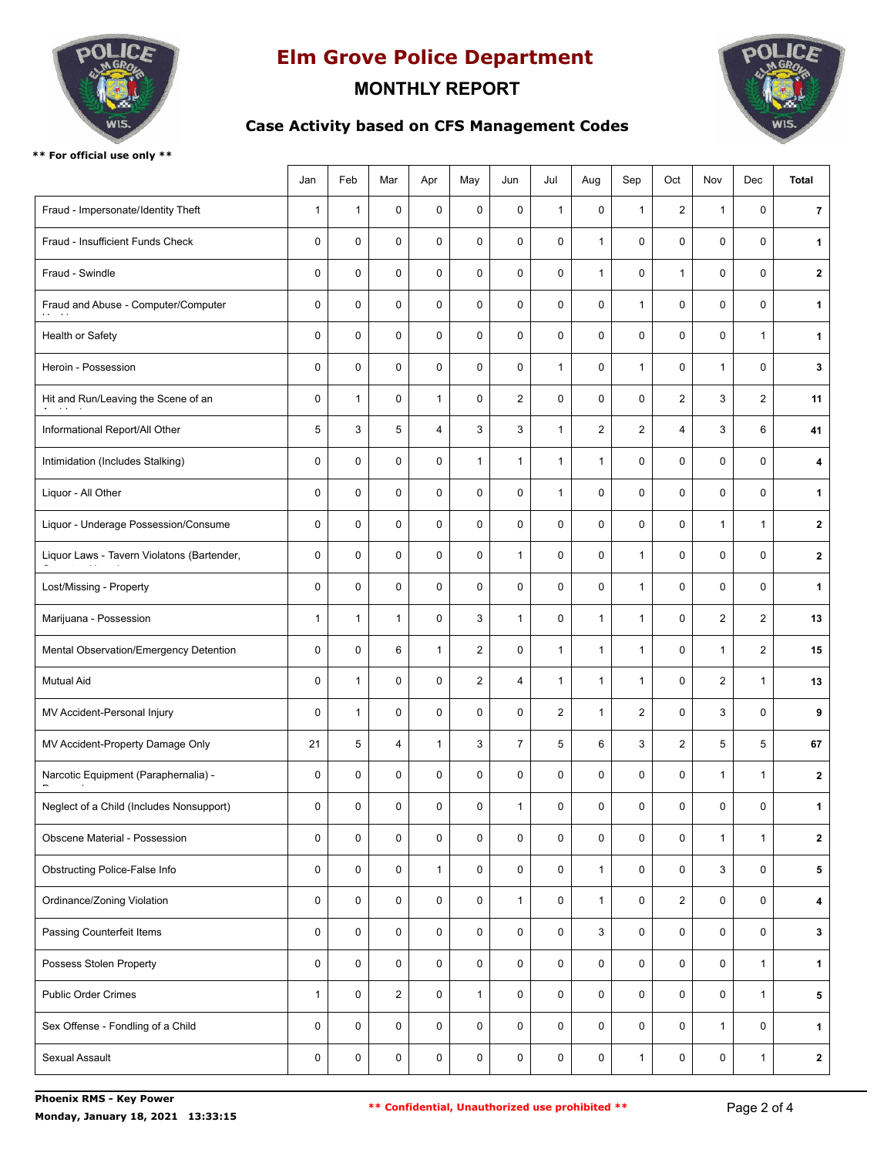

#### **MONTHLY REPORT**

**Case Activity based on CFS Management Codes**



|                                                             | Jan          | Feb          | Mar            | Apr            | May                     | Jun            | Jul            | Aug            | Sep            | Oct            | Nov            | Dec            | <b>Total</b>   |
|-------------------------------------------------------------|--------------|--------------|----------------|----------------|-------------------------|----------------|----------------|----------------|----------------|----------------|----------------|----------------|----------------|
| Fraud - Impersonate/Identity Theft                          | 1            | $\mathbf{1}$ | 0              | 0              | $\mathbf 0$             | $\mathbf 0$    | $\mathbf{1}$   | 0              | $\mathbf{1}$   | $\overline{c}$ | $\mathbf{1}$   | 0              | $\overline{7}$ |
| Fraud - Insufficient Funds Check                            | $\mathbf 0$  | 0            | 0              | 0              | $\mathbf 0$             | $\mathbf 0$    | $\mathbf 0$    | $\mathbf{1}$   | 0              | $\mathbf 0$    | $\mathbf 0$    | $\mathbf 0$    | $\mathbf 1$    |
| Fraud - Swindle                                             | $\pmb{0}$    | $\pmb{0}$    | 0              | 0              | 0                       | $\mathbf 0$    | $\pmb{0}$      | $\mathbf{1}$   | 0              | $\mathbf{1}$   | $\mathbf 0$    | $\pmb{0}$      | $\mathbf{2}$   |
| Fraud and Abuse - Computer/Computer                         | 0            | 0            | 0              | 0              | 0                       | $\mathbf 0$    | 0              | 0              | $\mathbf{1}$   | 0              | $\mathbf 0$    | $\mathbf 0$    | $\mathbf 1$    |
| Health or Safety                                            | $\mathbf 0$  | 0            | 0              | $\mathbf 0$    | 0                       | $\mathbf 0$    | $\mathbf 0$    | $\mathbf 0$    | 0              | 0              | $\mathbf 0$    | $\mathbf{1}$   | $\mathbf{1}$   |
| Heroin - Possession                                         | $\mathbf 0$  | 0            | 0              | 0              | 0                       | $\mathbf 0$    | 1              | 0              | $\mathbf{1}$   | 0              | $\mathbf{1}$   | $\mathbf 0$    | 3              |
| Hit and Run/Leaving the Scene of an                         | $\mathbf 0$  | $\mathbf{1}$ | 0              | $\mathbf{1}$   | 0                       | $\overline{2}$ | 0              | 0              | 0              | $\overline{2}$ | 3              | $\overline{2}$ | 11             |
| Informational Report/All Other                              | 5            | 3            | 5              | $\overline{4}$ | 3                       | 3              | $\mathbf{1}$   | $\overline{2}$ | $\overline{2}$ | 4              | 3              | 6              | 41             |
| Intimidation (Includes Stalking)                            | $\pmb{0}$    | 0            | 0              | 0              | $\mathbf{1}$            | $\mathbf{1}$   | 1              | $\mathbf{1}$   | 0              | 0              | $\mathbf 0$    | 0              | 4              |
| Liquor - All Other                                          | $\pmb{0}$    | 0            | 0              | 0              | 0                       | $\mathbf 0$    | $\mathbf{1}$   | $\pmb{0}$      | 0              | 0              | $\mathbf 0$    | 0              | $\mathbf 1$    |
| Liquor - Underage Possession/Consume                        | $\mathbf 0$  | 0            | 0              | 0              | 0                       | $\mathbf 0$    | $\mathbf 0$    | 0              | 0              | 0              | $\mathbf{1}$   | 1              | $\mathbf{2}$   |
| Liquor Laws - Tavern Violatons (Bartender,<br>$\sim$ $\sim$ | $\mathbf 0$  | 0            | 0              | 0              | $\mathbf 0$             | $\mathbf{1}$   | $\mathbf 0$    | $\mathbf 0$    | $\mathbf{1}$   | $\mathbf 0$    | $\mathbf 0$    | $\mathbf 0$    | $\mathbf{2}$   |
| Lost/Missing - Property                                     | $\mathbf 0$  | 0            | 0              | 0              | 0                       | $\mathbf 0$    | 0              | $\pmb{0}$      | $\mathbf{1}$   | 0              | $\mathbf 0$    | 0              | $\mathbf 1$    |
| Marijuana - Possession                                      | $\mathbf{1}$ | 1            | $\mathbf{1}$   | 0              | 3                       | $\mathbf{1}$   | $\mathbf 0$    | $\mathbf{1}$   | $\mathbf{1}$   | 0              | $\overline{2}$ | $\overline{2}$ | 13             |
| Mental Observation/Emergency Detention                      | $\pmb{0}$    | 0            | 6              | $\mathbf{1}$   | $\overline{\mathbf{c}}$ | $\mathbf 0$    | $\mathbf{1}$   | $\mathbf{1}$   | $\mathbf{1}$   | 0              | $\mathbf{1}$   | $\overline{2}$ | 15             |
| <b>Mutual Aid</b>                                           | $\mathbf 0$  | 1            | 0              | 0              | $\overline{2}$          | $\overline{4}$ | $\mathbf{1}$   | $\mathbf{1}$   | $\mathbf{1}$   | 0              | $\overline{2}$ | $\mathbf{1}$   | 13             |
| MV Accident-Personal Injury                                 | $\mathbf 0$  | 1            | 0              | $\mathbf 0$    | 0                       | $\mathbf 0$    | $\overline{2}$ | $\mathbf{1}$   | $\overline{2}$ | 0              | 3              | $\mathbf 0$    | 9              |
| MV Accident-Property Damage Only                            | 21           | 5            | $\overline{4}$ | $\mathbf{1}$   | 3                       | $\overline{7}$ | 5              | 6              | $\mathsf 3$    | $\overline{2}$ | 5              | 5              | 67             |
| Narcotic Equipment (Paraphernalia) -                        | $\pmb{0}$    | 0            | 0              | 0              | 0                       | $\mathbf 0$    | 0              | 0              | 0              | 0              | $\mathbf{1}$   | $\mathbf{1}$   | $\mathbf{2}$   |
| Neglect of a Child (Includes Nonsupport)                    | $\pmb{0}$    | 0            | 0              | 0              | 0                       | 1              | 0              | 0              | 0              | 0              | $\pmb{0}$      | 0              | 1              |
| Obscene Material - Possession                               | $\pmb{0}$    | 0            | $\mathbf 0$    | $\pmb{0}$      | 0                       | 0              | 0              | $\mathbf 0$    | 0              | 0              | $\mathbf{1}$   | $\mathbf{1}$   | $\mathbf{2}$   |
| Obstructing Police-False Info                               | $\pmb{0}$    | 0            | $\mathbf 0$    | $\mathbf{1}$   | 0                       | 0              | 0              | $\mathbf{1}$   | 0              | 0              | $\mathbf{3}$   | 0              | 5              |
| Ordinance/Zoning Violation                                  | $\pmb{0}$    | $\mathbf 0$  | $\mathbf 0$    | 0              | 0                       | $\mathbf{1}$   | 0              | $\mathbf{1}$   | 0              | $\overline{2}$ | $\pmb{0}$      | 0              | 4              |
| Passing Counterfeit Items                                   | 0            | $\mathbf 0$  | $\mathbf 0$    | 0              | 0                       | $\mathbf 0$    | 0              | 3              | 0              | 0              | 0              | 0              | $\mathbf{3}$   |
| Possess Stolen Property                                     | $\pmb{0}$    | 0            | 0              | 0              | 0                       | 0              | $\mathbf 0$    | 0              | 0              | 0              | $\pmb{0}$      | $\mathbf{1}$   | $\mathbf{1}$   |
| <b>Public Order Crimes</b>                                  | $\mathbf{1}$ | 0            | $\overline{2}$ | 0              | $\mathbf{1}$            | 0              | 0              | $\mathbf 0$    | 0              | $\mathbf 0$    | $\pmb{0}$      | $\mathbf{1}$   | 5              |
| Sex Offense - Fondling of a Child                           | $\pmb{0}$    | 0            | $\mathbf 0$    | 0              | 0                       | 0              | $\mathbf 0$    | $\mathbf 0$    | $\mathbf 0$    | 0              | $\mathbf{1}$   | $\mathbf 0$    | $\mathbf{1}$   |
| Sexual Assault                                              | $\pmb{0}$    | 0            | 0              | 0              | 0                       | 0              | 0              | 0              | $\mathbf{1}$   | 0              | 0              | $\mathbf{1}$   | $\mathbf{2}$   |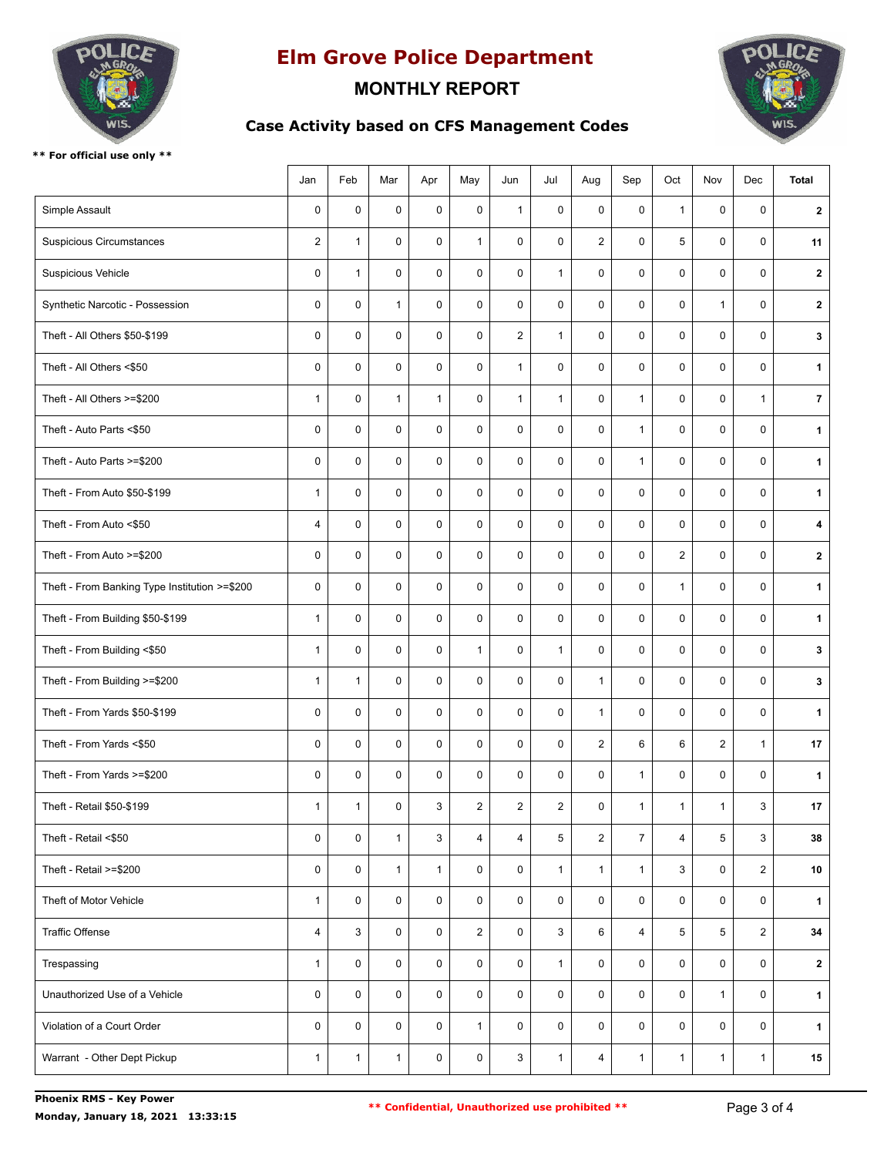

#### **MONTHLY REPORT**

**Case Activity based on CFS Management Codes**



|                                               | Jan            | Feb          | Mar          | Apr          | May                     | Jun            | Jul          | Aug            | Sep            | Oct            | Nov            | Dec            | Total          |
|-----------------------------------------------|----------------|--------------|--------------|--------------|-------------------------|----------------|--------------|----------------|----------------|----------------|----------------|----------------|----------------|
| Simple Assault                                | $\mathbf 0$    | $\mathbf 0$  | 0            | $\mathbf 0$  | $\mathbf 0$             | $\mathbf{1}$   | $\mathbf 0$  | 0              | 0              | $\mathbf{1}$   | $\mathbf 0$    | $\mathbf 0$    | $\mathbf{2}$   |
| <b>Suspicious Circumstances</b>               | $\overline{2}$ | $\mathbf{1}$ | 0            | 0            | $\mathbf{1}$            | $\mathbf 0$    | 0            | $\overline{2}$ | 0              | 5              | $\mathbf 0$    | $\mathbf 0$    | 11             |
| Suspicious Vehicle                            | $\mathbf 0$    | $\mathbf{1}$ | $\mathbf 0$  | 0            | $\mathbf 0$             | $\mathbf 0$    | $\mathbf{1}$ | $\mathbf 0$    | 0              | $\mathbf 0$    | $\mathbf 0$    | $\mathbf 0$    | $\mathbf{2}$   |
| Synthetic Narcotic - Possession               | $\mathbf 0$    | $\mathbf 0$  | $\mathbf{1}$ | 0            | $\mathbf 0$             | $\mathbf 0$    | $\mathbf 0$  | 0              | 0              | $\mathbf 0$    | $\mathbf{1}$   | $\mathbf 0$    | $\mathbf{2}$   |
| Theft - All Others \$50-\$199                 | $\mathbf 0$    | 0            | 0            | 0            | $\pmb{0}$               | $\overline{2}$ | $\mathbf{1}$ | 0              | 0              | 0              | $\mathbf 0$    | 0              | 3              |
| Theft - All Others <\$50                      | $\mathbf 0$    | $\pmb{0}$    | $\mathbf 0$  | 0            | $\mathbf 0$             | $\mathbf{1}$   | $\mathbf 0$  | 0              | 0              | $\mathbf 0$    | $\mathbf 0$    | $\mathbf 0$    | $\mathbf{1}$   |
| Theft - All Others >=\$200                    | $\mathbf{1}$   | $\mathbf 0$  | $\mathbf{1}$ | $\mathbf{1}$ | $\mathbf 0$             | $\mathbf{1}$   | $\mathbf{1}$ | $\mathbf 0$    | $\mathbf{1}$   | $\mathbf 0$    | $\mathbf 0$    | $\mathbf{1}$   | $\overline{7}$ |
| Theft - Auto Parts <\$50                      | $\pmb{0}$      | 0            | 0            | 0            | $\mathbf 0$             | 0              | $\mathbf 0$  | $\mathbf 0$    | $\mathbf{1}$   | $\mathbf 0$    | $\mathsf 0$    | $\mathbf 0$    | $\mathbf{1}$   |
| Theft - Auto Parts >=\$200                    | $\pmb{0}$      | $\mathbf 0$  | $\mathbf 0$  | 0            | $\mathbf 0$             | $\mathbf 0$    | $\mathbf 0$  | $\mathbf 0$    | $\mathbf{1}$   | $\mathbf 0$    | $\mathbf 0$    | $\mathbf 0$    | $\mathbf{1}$   |
| Theft - From Auto \$50-\$199                  | $\mathbf{1}$   | $\mathbf 0$  | 0            | 0            | $\mathbf 0$             | $\mathbf 0$    | $\mathbf 0$  | 0              | 0              | $\mathbf 0$    | $\mathbf 0$    | $\mathbf 0$    | $\mathbf{1}$   |
| Theft - From Auto <\$50                       | $\overline{4}$ | 0            | 0            | 0            | 0                       | $\mathbf 0$    | 0            | 0              | 0              | 0              | $\mathbf 0$    | 0              | 4              |
| Theft - From Auto >=\$200                     | $\mathbf 0$    | $\mathbf 0$  | $\mathbf 0$  | 0            | $\mathbf 0$             | $\mathbf 0$    | $\mathbf 0$  | 0              | 0              | $\overline{2}$ | $\mathbf 0$    | $\mathbf 0$    | $\mathbf{2}$   |
| Theft - From Banking Type Institution >=\$200 | $\mathbf 0$    | 0            | 0            | 0            | $\mathbf 0$             | $\mathbf 0$    | $\mathbf 0$  | 0              | 0              | $\mathbf{1}$   | $\mathbf 0$    | $\mathbf 0$    | $\mathbf{1}$   |
| Theft - From Building \$50-\$199              | $\mathbf{1}$   | 0            | 0            | 0            | $\mathbf 0$             | $\mathbf 0$    | $\mathbf 0$  | 0              | 0              | 0              | $\mathbf 0$    | $\mathbf 0$    | $\mathbf{1}$   |
| Theft - From Building <\$50                   | $\mathbf{1}$   | $\mathbf 0$  | $\mathbf 0$  | 0            | $\mathbf{1}$            | $\mathbf 0$    | $\mathbf{1}$ | $\mathbf 0$    | 0              | $\mathbf 0$    | $\mathbf 0$    | $\mathbf 0$    | $\mathbf{3}$   |
| Theft - From Building >=\$200                 | $\mathbf{1}$   | $\mathbf{1}$ | $\mathbf 0$  | 0            | $\mathbf 0$             | $\mathbf 0$    | $\mathbf 0$  | $\mathbf{1}$   | 0              | $\mathbf 0$    | $\mathbf 0$    | $\mathbf 0$    | $\mathbf{3}$   |
| Theft - From Yards \$50-\$199                 | $\mathbf 0$    | $\mathbf 0$  | 0            | 0            | 0                       | $\mathbf 0$    | $\mathbf 0$  | $\mathbf{1}$   | 0              | 0              | $\mathbf 0$    | 0              | $\mathbf 1$    |
| Theft - From Yards <\$50                      | $\mathbf 0$    | $\pmb{0}$    | $\mathbf 0$  | 0            | $\mathbf 0$             | $\mathbf 0$    | $\mathbf 0$  | $\overline{2}$ | 6              | 6              | $\overline{2}$ | $\mathbf{1}$   | 17             |
| Theft - From Yards >=\$200                    | $\pmb{0}$      | $\mathbf 0$  | 0            | 0            | $\mathbf 0$             | $\mathbf 0$    | $\mathbf 0$  | $\mathbf 0$    | $\mathbf{1}$   | $\mathbf 0$    | $\mathbf 0$    | $\mathbf 0$    | $\mathbf{1}$   |
| Theft - Retail \$50-\$199                     | 1              | 1            | 0            | 3            | $\overline{\mathbf{c}}$ | $\overline{2}$ | 2            | 0              | $\mathbf{1}$   | $\mathbf{1}$   | $\mathbf{1}$   | 3              | 17             |
| Theft - Retail <\$50                          | $\pmb{0}$      | $\mathbf 0$  | $\mathbf{1}$ | 3            | $\overline{4}$          | $\overline{4}$ | 5            | $\overline{2}$ | $\overline{7}$ | $\overline{4}$ | 5              | 3              | 38             |
| Theft - Retail >=\$200                        | $\pmb{0}$      | $\mathbf 0$  | $\mathbf{1}$ | $\mathbf{1}$ | 0                       | $\mathbf 0$    | $\mathbf{1}$ | $\mathbf{1}$   | $\mathbf{1}$   | 3              | $\mathsf 0$    | $\overline{2}$ | 10             |
| Theft of Motor Vehicle                        | $\mathbf{1}$   | 0            | 0            | 0            | 0                       | $\mathbf 0$    | 0            | 0              | 0              | 0              | $\mathbf 0$    | 0              | $\mathbf{1}$   |
| <b>Traffic Offense</b>                        | $\overline{4}$ | 3            | $\mathbf 0$  | 0            | $\overline{2}$          | $\mathbf 0$    | 3            | 6              | 4              | 5              | 5              | $\overline{2}$ | 34             |
| Trespassing                                   | $\mathbf{1}$   | 0            | 0            | 0            | $\mathbf 0$             | $\mathbf 0$    | $\mathbf{1}$ | 0              | 0              | $\mathbf 0$    | $\mathbf 0$    | $\mathbf 0$    | $\mathbf{2}$   |
| Unauthorized Use of a Vehicle                 | $\pmb{0}$      | 0            | $\mathbf 0$  | 0            | $\mathbf 0$             | $\mathbf 0$    | $\mathbf{0}$ | $\mathbf 0$    | 0              | 0              | $\mathbf{1}$   | $\mathbf 0$    | $\mathbf{1}$   |
| Violation of a Court Order                    | $\pmb{0}$      | $\mathbf 0$  | 0            | 0            | $\mathbf{1}$            | $\mathbf 0$    | $\mathbf 0$  | $\mathbf 0$    | 0              | $\mathbf 0$    | $\mathsf 0$    | $\mathbf 0$    | $\mathbf 1$    |
| Warrant - Other Dept Pickup                   | $\mathbf{1}$   | $\mathbf{1}$ | $\mathbf{1}$ | 0            | 0                       | $\mathbf{3}$   | $\mathbf{1}$ | $\overline{4}$ | $\mathbf{1}$   | $\mathbf{1}$   | $\mathbf{1}$   | $\mathbf{1}$   | 15             |